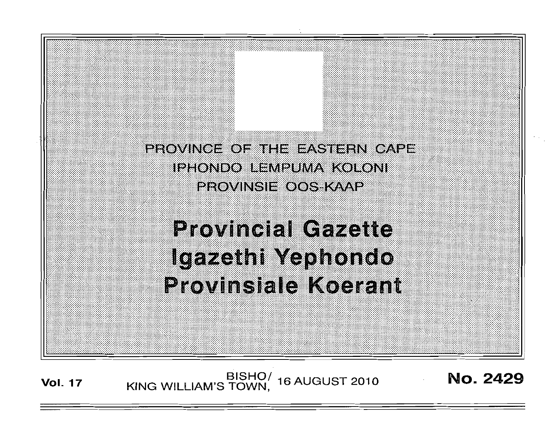

**Vol. 17 KING WILLIAM'S TOWN, 16 AUGUST 2010 No. 2429**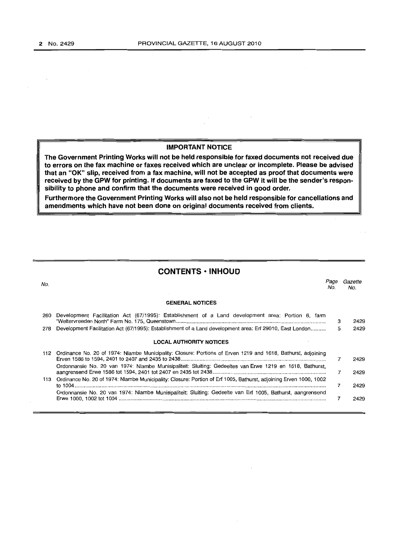$\sim$ 

## **IMPORTANT NOTICE**

**The Government Printing Works will not be held responsible for faxed documents not received due to errors on the fax machine or faxes received which are unclear or incomplete. Please be advised that an "OK" slip, received from a fax machine, will not be accepted as proof that documents were received by the GPW for printing. If documents are faxed to the GPW it will be the sender's responsibility to phone and confirm that the documents were received in good order.** 

**Furthermore the Government Printing Works will also not be held responsible for cancellations and amendments which have not been done on origina! documents received from clients.** 

# **CONTENTS -INHOUD**

| No. |                                                                                                                   | Paqe<br>No. | Gazette<br>No. |
|-----|-------------------------------------------------------------------------------------------------------------------|-------------|----------------|
|     | <b>GENERAL NOTICES</b>                                                                                            |             |                |
| 260 | Development Facilitation Act (67/1995): Establishment of a Land development area: Portion 6, farm                 | з           | 2429           |
| 278 | Development Facilitation Act (67/1995): Establishment of a Land development area: Erf 29010, East London          | 5           | 2429           |
|     | <b>LOCAL AUTHORITY NOTICES</b>                                                                                    |             |                |
| 112 | Ordinance No. 20 of 1974: Nlambe Municipality: Closure: Portions of Erven 1219 and 1618, Bathurst, adjoining      |             | 2429           |
|     | Ordonnansie No. 20 van 1974: Nlambe Munisipaliteit: Sluiting: Gedeeltes van Erwe 1219 en 1618, Bathurst,          | 7           | 2429           |
| 113 | Ordinance No. 20 of 1974: Nlambe Municipality: Closure: Portion of Erf 1005, Bathurst, adjoining Erven 1000, 1002 | 7           | 2429           |
|     | Ordonnansie No. 20 van 1974: Nlambe Munisipaliteit: Sluiting: Gedeelte van Erf 1005, Bathurst, aangrensend        | 7           | 2429           |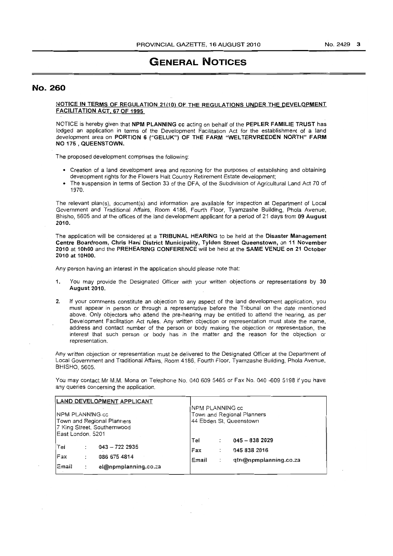# **GENERAL NOTICES**

## No. 260

#### NOTICE IN TERMS OF REGULATION 21(10) OF THE REGULATIONS UNDER THE DEVELQPMENT FACILITATION ACT. 67 OF 1995

NOTICE is hereby given that NPM PLANNING cc acting on behalf of the PEPLER FAMILIE TRUST has lodged an application in terms of the Development Facilitation Act for the establishment of a land development area on PORTION 6 ("GELUK") OF THE FARM "WELTERVREEDEN NORTH" FARM NO 175 , QUEENSTOWN.

The proposed development comprises the following:

- Creation of a land development area and rezoning for the purposes of establishing and obtaining development rights for the Flowers Halt Country Retirement Estate development;
- The suspension in terms of Section 33 of the DFA, of the Subdivision of Agricultural Land Act 70 of 1970.

The relevant plan(s), document(s) and information are available for inspection at Department of Local Government and Traditional Affairs, Room 4186, Fourth Floor, Tyamzashe Building, Phola Avenue, Bhisho, 5605 and at the offices of the land development applicant for a period of 21 days from 09 August 2010.

The application will be considered at a TRIBUNAL HEARING to be held at the Disaster Management Centre Boardroom, Chris Hani District Municipality, Tylden Street Queenstown, on 11 November 2010 at 10hOO and the PREHEARING CONFERENCE will be held at the SAME VENUE on 21 October 2010 at 10HOO.

Any person having an interest in the application should please note that:

- 1. You may provide the Designated Officer with your written objections or representations by 30 August 2010.
- 2. If your comments constitute an objection to any aspect of the land development application, you must appear in person or through a representative before the Tribunal on the date mentioned above. Only objectors who attend the pre-hearing may be entitled to attend the hearing, as per Development Facilitation Act rules. Any written objection or representation must state the name, address and contact number of the person or body making the objection or representation, the interest that such person or body has in the matter and the reason for the objection or representation.

Any written objection or representation must be delivered to the Designated Officer at the Department of Local Government and Traditional Affairs, Room 4186, Fourth Floor, Tyamzashe Building, Phola Avenue, BHISHO, 5605.

You may contact Mr M.M. Mona on Telephone No. 040 609 5465 or Fax No. 040 -609 5198 jf you have any queries concerning the application.

|                                                                                                   |        | LAND DEVELOPMENT APPLICANT                              | NPM PLANNING cc                                       |  |                                                          |  |  |
|---------------------------------------------------------------------------------------------------|--------|---------------------------------------------------------|-------------------------------------------------------|--|----------------------------------------------------------|--|--|
| NPM PLANNING cc<br>Town and Regional Planners<br>7 King Street, Southernwood<br>East London, 5201 |        |                                                         | Town and Regional Planners<br>44 Ebden St. Queenstown |  |                                                          |  |  |
| Tei<br>lFax<br>Email                                                                              | ÷<br>: | $043 - 7222935$<br>086 675 4814<br>el@npmplanning.co.za | Tel<br>Fax<br>Email                                   |  | $045 - 8382029$<br>045 838 2016<br>gtn@npmplanning.co.za |  |  |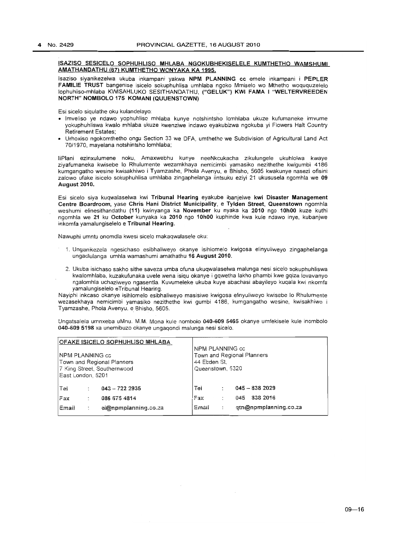#### ISAZISO SESICELO SOPHUHLlSO MHLA8A NGOKU8HEKISELELE KUMTHETHO WAMSHUMI AMATHANDATHU (67) KUMTHETHO WONYAKA KA 1995.

Isazisa siyanikezelwa ukuba inkampani yakwa NPM PLANNING cc emele inkampani i PEPLER FAMILIE TRUST bangenise isicelo sokuphuhlisa umhlaba ngoko Mmiselo wo Mthetho woququzelelo lophuhliso-mhlaba KWlSAHLUKO SESITHANDATHU, ("GELUK") KWI FAMA I "WELTERVREEDEN NORTH" NOMBOLO 175 KOMANI (QUUENSTOWN)

Esi sieelo siqulathe oku kulandelayo:

- Imveliso ye ndawo yophuhliso mhlaba kunye notshintsho lomhlaba ukuze kufumaneke imvume yokuphuhliswa kwalo mhlaba ukuze kwenziwe indawo eyakubizwa ngokuba yi Flowers Halt Country Retirement Estates;
- Urhoxiso ngokomthetho ongu Section 33 we DFA, umthetho we Subdivision of Agricultural Land Act 7011970, mayelana notshintsho lomhlaba;

IiPlani ezinxulumene noku, Amaxwebhu kunye neeNkcukacha zikulungele ukuhlolwa kwaye ziyafumaneka kwisebe 10 Rhulumente wezamkhaya nemicimbi yamasiko nezithethe kwigumbi 4186 kumgangatho wesine kwisakhiwo i Tyamzashe, Phola Avenyu, e Bhisho, 5605 kwakunye nasezi ofisini zalowo ufake isieelo sokuphuhlisa umhlaba zingaphelanga iintsuku eziyi 21 ukususela ngomhla we 09 August 2010.

Esi sicelo siya kuqwalaselwa kwi Tribunal Hearing eyakube ibanjelwe kwi Disaster Management Centre Boardroom, vase Chris Hani District Municipality, e Tylden Street, Queenstown ngomhla weshumi elinesithandathu (11) kwinyanga ka November ku nyaka ka 2010 ngo 10h00 kuze kuthi ngomhla we 21 ku October kunyaka ka 2010 ngo 10hOO kuphinde kwa kule ndawo inye, kubanjwe inkomfa yamalungiselelo e Tribunal Hearing.

Nawuphi umntu onomdla kwesi sicelo makaqwalasele oku:

- 1 Unganikezela ngesichaso esibhaliweyo okanye isihlomelo kwigosa elinyuliweyo zingaphelanga ungadlulanga umhla wamashumi amathathu 16 August 2010.
- 2. Ukuba isiehaso sakho sithe saveza umba ofuna ukuqwalaselwa malunga nesi sicelo sokuphuhliswa kwalomhlaba, kuzakufunaka uvele wena isiqu okanye i gqwetha lakho phambi kwe gqiza lovavanyo ngalomhla uchaziweyo ngasentla. Kuvumeleke ukuba kuye abachasi abayileyo kuqala kwi nkomfa yamalungiselelo eTribunal Hearing.

Nayiphi inkcaso okanye isihlomelo esibhaliweyo masisiwe kwigosa elinyuliweyo kwisebe 10 Rhulumente wezasekhaya nemicimbi yamasiko nezithethe kwi gumbi 4186, kumgangatho wesine, kwisakhiwo j Tyamzashe, Phola Avenyu, e. Bhisho, 5605.

Ungatsalela umnxeba uMnu. M.M. Mona kule nom bolo 040-609 5465 okanye umfekisele kule inombolo 040-609 5198 xa unemibuzo okanye ungaqondi malunga nesi sicelo.

| <b>OFAKE ISICELO SOPHUHLISO MHLABA</b><br><b>NPM PLANNING cc</b><br>Town and Regional Planners<br>7 King Street, Southernwood<br>East London, 5201 |  |                                                        | NPM PLANNING cc<br>Town and Regional Planners<br> 44 Ebden St.<br>Queenstown, 5320 |  |                                                             |  |  |
|----------------------------------------------------------------------------------------------------------------------------------------------------|--|--------------------------------------------------------|------------------------------------------------------------------------------------|--|-------------------------------------------------------------|--|--|
| lTei<br>Fax<br>lEmail                                                                                                                              |  | $043 - 722235$<br>086 675 4814<br>el@npmplanning.co.za | Tei<br>Fax<br>Email                                                                |  | $045 - 8382029$<br>838 2016<br>045<br>gtn@npmplanning.co.za |  |  |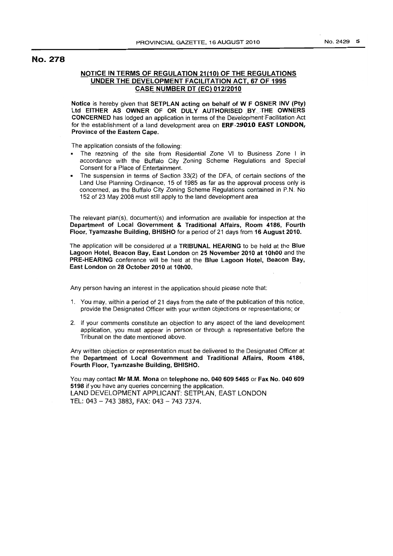# No. 278

## NOTICE IN TERMS OF REGULATION 21(10) OF THE REGULATIONS UNDER THE DEVELOPMENT FACILITATION ACT, 67 OF 1995 CASE NUMBER DT (EC) 012/2010

Notice is hereby given that SETPLAN acting on behalf of W F OSNER INV (pty) Ltd EITHER AS OWNER OF OR DULY AUTHORISED BY THE OWNERS CONCERNED has lodged an application in terms of the Development Facilitation Act for the establishment of a land development area on ERF ·29010 EAST LONDON, Province of the Eastern Cape.

The application consists of the following:

- The rezoning of the site from Residential Zone VI to Business Zone I in accordance with the Buffalo City Zoning Scheme Regulations and Special Consent for a Place of Entertainment.
- The suspension in terms of Section 33(2) of the DFA, of certain sections of the Land Use Planning Ordinance, 15 of 1985 as far as the approval process only is concerned, as the Buffalo City Zoning Scheme Regulations contained in P.N. No 152 of 23 May 2008 must still apply to the land development area

The relevant plan(s), document(s) and information are available for inspection at the Department of Local Government & Traditional Affairs, Room 4186, Fourth Floor, Tyamzashe Building, BHISHO for a period of 21 days from 16 August 2010.

The application will be considered at a TRIBUNAL HEARING to be held at the Blue Lagoon Hotel, Beacon Bay, East London on 25 November 2010 at 10hOO and the PRE·HEARING conference will be held at the Blue Lagoon Hotel, Beacon Bay, East London on 28 October 2010 at 10hOO.

Any person having an interest in the application should please note that:

- 1. You may, within a period of 21 days from the date of the publication of this notice, provide the Designated Officer with your written objections or representations; or
- 2. If your comments constitute an objection to any aspect of the land development application, you must appear in person or through a representative before the Tribunal on the date mentioned above,

Any written objection or representation must be delivered to the Designated Officer at the Department of Local Government and Traditional Affairs, Room 4186, Fourth Floor, Tyamzashe Building, BHISHO.

You may contact Mr M.M. Mona on telephone no. 040609 5465 or Fax No. 040609 5198 if you have any queries concerning the application. LAND DEVELOPMENT APPLICANT: SETPLAN, EAST LONDON TEL: 043 - 743 3883, FAX: 043 - 743 7374.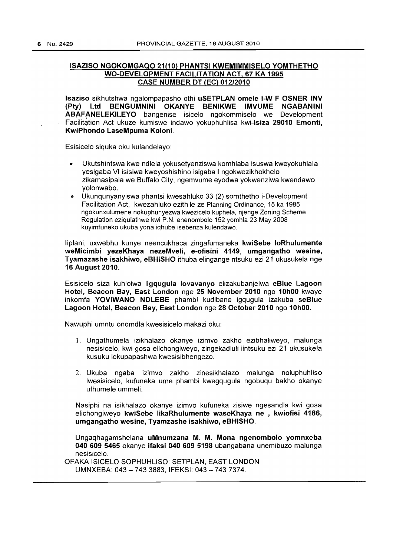# ISAZISO NGOKOMGAQO 21(10) PHANTSI KWEMIMMISELO YOMTHETHO WO-DEVELOPMENT FACILITATION ACT, 67 KA 1995 CASE NUMBER DT (EC) 012/2010

Isaziso sikhutshwa ngalompapasho othi uSETPLAN omele I-W F OSNER INV (Pty) Ltd BENGUMNINI OKANYE BENIKWE IMVUME NGABANINI ABAFANELEKILEYO bangenise isicelo ngokommiselo we Development Facilitation Act ukuze kumiswe indawo yokuphuhlisa kwi-Isiza 29010 Emonti, KwiPhondo LaseMpuma Koloni.

Esisicelo siquka oku kulandelayo:

- Ukutshintswa kwe ndlela yokusetyenziswa komhlaba isuswa kweyokuhlala yesigaba VI isisiwa kweyoshishino isigaba I ngokwezikhokhelo zikamasipala we Buffalo City, ngemvume eyodwa yokwenziwa kwendawo yolonwabo.
- Ukunqunyanyiswa phantsi kwesahluko 33 (2) somthetho i-Development Facilitation Act, kwezahluko ezithile ze Planning Ordinance, 15 ka 1985 ngokunxulumene nokuphunyezwa kwezicelo kuphela, njenge Zoning Scheme Regulation eziqulathwe kwi P.N. enenombolo 152 yomhla 23 May 2008 kuyimfuneko ukuba yona iqhube isebenza kulendawo.

liplani, uxwebhu kunye neencukhaca zingafumaneka kwiSebe loRhulumente weMicimbi yezeKhaya nezeMveli, e-ofisini 4149, umgangatho wesine, Tyamazashe isakhiwo, eBHISHO ithuba elingange ntsuku ezi 21 ukusukela nge 16 August 2010.

Esisicelo siza kuhlolwa ligqugula lovavanyo elizakubanjelwa eBlue Lagoon Hotel, Beacon Bay, East London nge 25 November 2010 ngo 10hOO kwaye inkomfa YOVIWANO NDLEBE phambi kudibane igqugula izakuba seBlue Lagoon Hotel, Beacon Bay, East London nge 28 October 2010 ngo 10hOO.

Nawuphi umntu onomdla kwesisicelo makazi oku:

- 1. Ungathumela izikhalazo okanye izimvo zakho ezibhaliweyo, malunga nesisicelo, kwi gosa elichongiweyo, zingekadluli iintsuku ezi 21 ukusukela kusuku lokupapashwa kwesisibhengezo.
- 2. Ukuba ngaba izimvo zakho zinesikhalazo malunga noluphuhliso Iwesisicelo, kufuneka ume phambi kwegqugula ngobuqu bakho okanye uthumele ummeli.

Nasiphi na isikhalazo okanye izimvo kufuneka zisiwe ngesandla kwi gosa elichongiweyo kwiSebe likaRhulumente waseKhaya ne , kwiofisi 4186, umgangatho wesine, Tyamzashe isakhiwo, eBHISHO.

Ungaghagamshelana uMnumzana M. M. Mona ngenombolo yomnxeba 040609 5465 okanye ifaksi 040 609 5198 ubangabana unemibuzo malunga nesisicelo.

OFAKA ISICELO SOPHUHLlSO: SETPLAN, EAST LONDON UMNXEBA: 043 - 7433883, IFEKSI: 043 - 7437374.